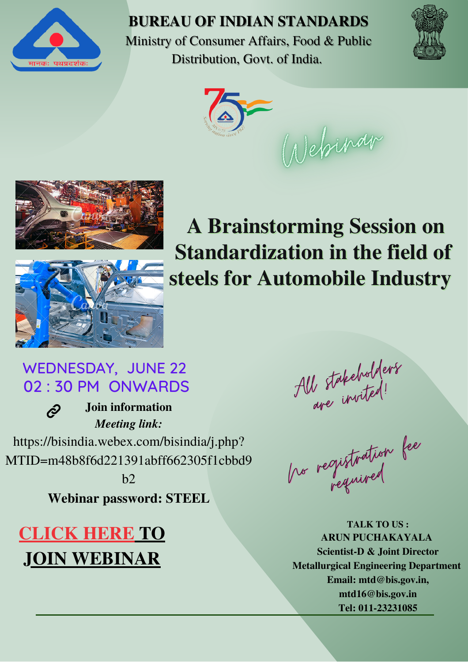

**BUREAU OF INDIAN STANDARDS**

Ministry of Consumer Affairs, Food & Public Distribution, Govt. of India.





Webinar





**A Brainstorming Session on Standardization in the field of steels for Automobile Industry**

### WEDNESDAY, JUNE 22 02 : 30 PM ONWARDS

 $\hat{\mathcal{C}}$ **Join information** *Meeting link:* https://bisindia.webex.com/bisindia/j.php? MTID=m48b8f6d221391abff662305f1cbbd9  $h2$ 

**Webinar password: STEEL**

### **[CLICK](https://bisindia.webex.com/bisindia/j.php?MTID=m48b8f6d221391abff662305f1cbbd9b2) HERE TO JOIN [WEBINAR](https://bisindia.webex.com/bisindia/j.php?MTID=m48b8f6d221391abff662305f1cbbd9b2)**

All stakeholders

be registration fee

**[TALK](mailto:mtd16@bis.gov.in) TO US : ARUN PUCHAKAYALA Scientist-D & Joint Director Metallurgical Engineering Department Email: [mtd@bis.gov.in,](mailto:mtd@bis.gov.in) [mtd16@bis.gov.in](mailto:mtd16@bis.gov.in) Tel: 011-23231085**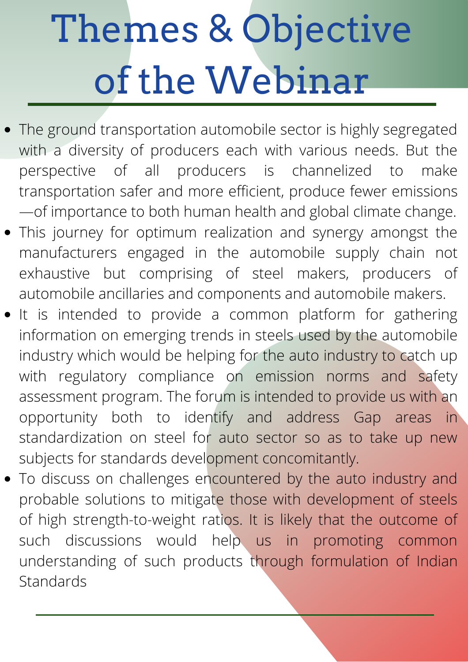# Themes & Objective of the Webinar

- The ground transportation automobile sector is highly segregated with a diversity of producers each with various needs. But the perspective of all producers is channelized to make transportation safer and more efficient, produce fewer emissions —of importance to both human health and global climate change.
- This journey for optimum realization and synergy amongst the manufacturers engaged in the automobile supply chain not exhaustive but comprising of steel makers, producers of automobile ancillaries and components and automobile makers.
- It is intended to provide a common platform for gathering information on emerging trends in steels used by the automobile industry which would be helping for the auto industry to catch up with regulatory compliance on emission norms and safety assessment program. The forum is intended to provide us with an opportunity both to identify and address Gap areas in standardization on steel for auto sector so as to take up new subjects for standards development concomitantly.
- To discuss on challenges encountered by the auto industry and probable solutions to mitigate those with development of steels of high strength-to-weight ratios. It is likely that the outcome of such discussions would help us in promoting common understanding of such products through formulation of Indian **Standards**